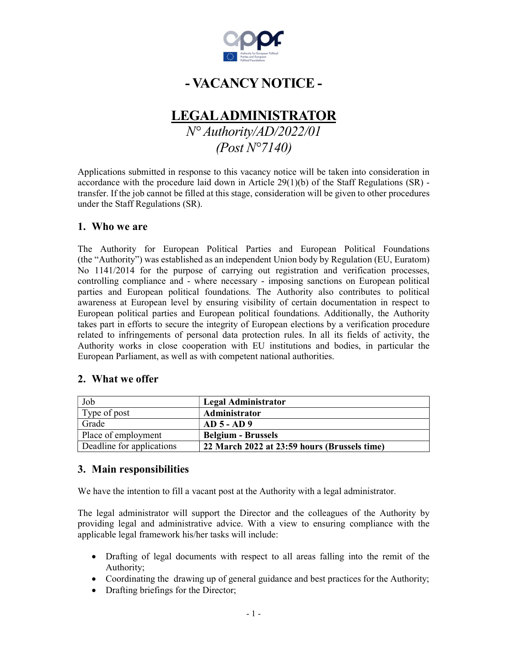

# - VACANCY NOTICE -

# LEGAL ADMINISTRATOR

N° Authority/AD/2022/01 (Post N°7140)

Applications submitted in response to this vacancy notice will be taken into consideration in accordance with the procedure laid down in Article 29(1)(b) of the Staff Regulations (SR) transfer. If the job cannot be filled at this stage, consideration will be given to other procedures under the Staff Regulations (SR).

## 1. Who we are

The Authority for European Political Parties and European Political Foundations (the "Authority") was established as an independent Union body by Regulation (EU, Euratom) No 1141/2014 for the purpose of carrying out registration and verification processes, controlling compliance and - where necessary - imposing sanctions on European political parties and European political foundations. The Authority also contributes to political awareness at European level by ensuring visibility of certain documentation in respect to European political parties and European political foundations. Additionally, the Authority takes part in efforts to secure the integrity of European elections by a verification procedure related to infringements of personal data protection rules. In all its fields of activity, the Authority works in close cooperation with EU institutions and bodies, in particular the European Parliament, as well as with competent national authorities.

## 2. What we offer

| Job                       | <b>Legal Administrator</b>                   |
|---------------------------|----------------------------------------------|
| Type of post              | Administrator                                |
| Grade                     | $AD 5 - AD 9$                                |
| Place of employment       | <b>Belgium - Brussels</b>                    |
| Deadline for applications | 22 March 2022 at 23:59 hours (Brussels time) |

## 3. Main responsibilities

We have the intention to fill a vacant post at the Authority with a legal administrator. The legal administrator will support the Director and the colleagues of the Authority by providing legal and administrative advice. With a view to ensuring compliance with the applicable legal framework his/her tasks will include:

- Drafting of legal documents with respect to all areas falling into the remit of the Authority;
- Coordinating the drawing up of general guidance and best practices for the Authority;
- Drafting briefings for the Director;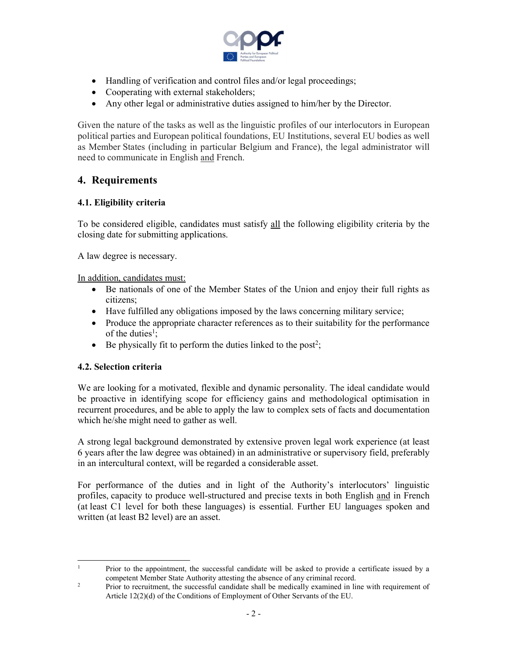

- Handling of verification and control files and/or legal proceedings;
- Cooperating with external stakeholders;
- Any other legal or administrative duties assigned to him/her by the Director.

Given the nature of the tasks as well as the linguistic profiles of our interlocutors in European political parties and European political foundations, EU Institutions, several EU bodies as well as Member States (including in particular Belgium and France), the legal administrator will need to communicate in English and French.

## 4. Requirements

#### 4.1. Eligibility criteria

To be considered eligible, candidates must satisfy all the following eligibility criteria by the closing date for submitting applications.

A law degree is necessary.

In addition, candidates must:

- Be nationals of one of the Member States of the Union and enjoy their full rights as citizens;
- Have fulfilled any obligations imposed by the laws concerning military service;
- Produce the appropriate character references as to their suitability for the performance of the duties<sup>1</sup>;
- $\bullet$  Be physically fit to perform the duties linked to the post<sup>2</sup>;

#### 4.2. Selection criteria

 We are looking for a motivated, flexible and dynamic personality. The ideal candidate would be proactive in identifying scope for efficiency gains and methodological optimisation in recurrent procedures, and be able to apply the law to complex sets of facts and documentation which he/she might need to gather as well.

A strong legal background demonstrated by extensive proven legal work experience (at least 6 years after the law degree was obtained) in an administrative or supervisory field, preferably in an intercultural context, will be regarded a considerable asset.

For performance of the duties and in light of the Authority's interlocutors' linguistic profiles, capacity to produce well-structured and precise texts in both English and in French (at least C1 level for both these languages) is essential. Further EU languages spoken and written (at least B2 level) are an asset.

 $\frac{1}{1}$  Prior to the appointment, the successful candidate will be asked to provide a certificate issued by a competent Member State Authority attesting the absence of any criminal record.

<sup>2</sup> Prior to recruitment, the successful candidate shall be medically examined in line with requirement of Article 12(2)(d) of the Conditions of Employment of Other Servants of the EU.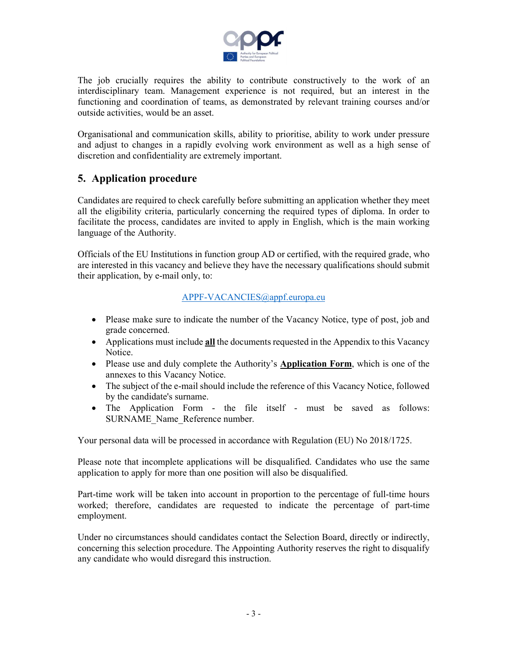

The job crucially requires the ability to contribute constructively to the work of an interdisciplinary team. Management experience is not required, but an interest in the functioning and coordination of teams, as demonstrated by relevant training courses and/or outside activities, would be an asset.

Organisational and communication skills, ability to prioritise, ability to work under pressure and adjust to changes in a rapidly evolving work environment as well as a high sense of discretion and confidentiality are extremely important.

## 5. Application procedure

Candidates are required to check carefully before submitting an application whether they meet all the eligibility criteria, particularly concerning the required types of diploma. In order to facilitate the process, candidates are invited to apply in English, which is the main working language of the Authority.

Officials of the EU Institutions in function group AD or certified, with the required grade, who are interested in this vacancy and believe they have the necessary qualifications should submit their application, by e-mail only, to:

#### APPF-VACANCIES@appf.europa.eu

- Please make sure to indicate the number of the Vacancy Notice, type of post, job and grade concerned.
- Applications must include  $all$  the documents requested in the Appendix to this Vacancy Notice.
- Please use and duly complete the Authority's **Application Form**, which is one of the annexes to this Vacancy Notice.
- The subject of the e-mail should include the reference of this Vacancy Notice, followed by the candidate's surname.
- The Application Form the file itself must be saved as follows: SURNAME\_Name\_Reference number.

Your personal data will be processed in accordance with Regulation (EU) No 2018/1725.

Please note that incomplete applications will be disqualified. Candidates who use the same application to apply for more than one position will also be disqualified.

 Part-time work will be taken into account in proportion to the percentage of full-time hours worked; therefore, candidates are requested to indicate the percentage of part-time employment.

Under no circumstances should candidates contact the Selection Board, directly or indirectly, concerning this selection procedure. The Appointing Authority reserves the right to disqualify any candidate who would disregard this instruction.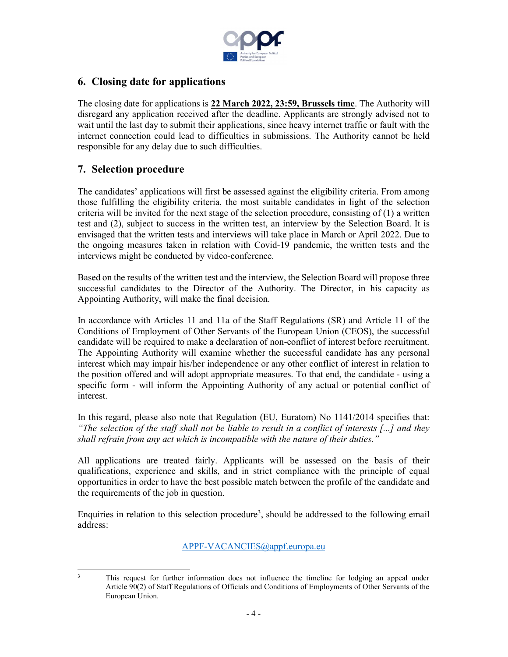

## 6. Closing date for applications

The closing date for applications is 22 March 2022, 23:59, Brussels time. The Authority will disregard any application received after the deadline. Applicants are strongly advised not to wait until the last day to submit their applications, since heavy internet traffic or fault with the internet connection could lead to difficulties in submissions. The Authority cannot be held responsible for any delay due to such difficulties.

# 7. Selection procedure

The candidates' applications will first be assessed against the eligibility criteria. From among those fulfilling the eligibility criteria, the most suitable candidates in light of the selection criteria will be invited for the next stage of the selection procedure, consisting of (1) a written test and (2), subject to success in the written test, an interview by the Selection Board. It is envisaged that the written tests and interviews will take place in March or April 2022. Due to the ongoing measures taken in relation with Covid-19 pandemic, the written tests and the interviews might be conducted by video-conference.

Based on the results of the written test and the interview, the Selection Board will propose three successful candidates to the Director of the Authority. The Director, in his capacity as Appointing Authority, will make the final decision.

In accordance with Articles 11 and 11a of the Staff Regulations (SR) and Article 11 of the Conditions of Employment of Other Servants of the European Union (CEOS), the successful candidate will be required to make a declaration of non-conflict of interest before recruitment. The Appointing Authority will examine whether the successful candidate has any personal interest which may impair his/her independence or any other conflict of interest in relation to the position offered and will adopt appropriate measures. To that end, the candidate - using a specific form - will inform the Appointing Authority of any actual or potential conflict of interest.

In this regard, please also note that Regulation (EU, Euratom) No 1141/2014 specifies that: "The selection of the staff shall not be liable to result in a conflict of interests  $[...]$  and they shall refrain from any act which is incompatible with the nature of their duties."

All applications are treated fairly. Applicants will be assessed on the basis of their qualifications, experience and skills, and in strict compliance with the principle of equal opportunities in order to have the best possible match between the profile of the candidate and the requirements of the job in question.

Enquiries in relation to this selection procedure<sup>3</sup>, should be addressed to the following email address:

APPF-VACANCIES@appf.europa.eu

 $\frac{1}{3}$  This request for further information does not influence the timeline for lodging an appeal under Article 90(2) of Staff Regulations of Officials and Conditions of Employments of Other Servants of the European Union.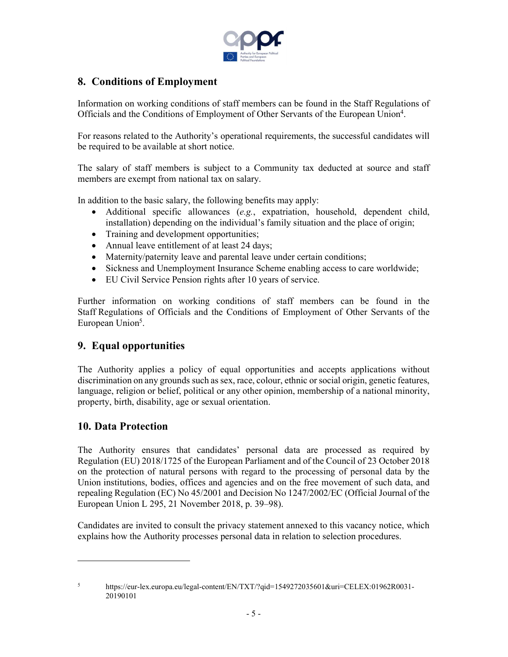

## 8. Conditions of Employment

Information on working conditions of staff members can be found in the Staff Regulations of Officials and the Conditions of Employment of Other Servants of the European Union<sup>4</sup>.

For reasons related to the Authority's operational requirements, the successful candidates will be required to be available at short notice.

The salary of staff members is subject to a Community tax deducted at source and staff members are exempt from national tax on salary.

In addition to the basic salary, the following benefits may apply:

- Additional specific allowances  $(e.g.,$  expatriation, household, dependent child, installation) depending on the individual's family situation and the place of origin;
- Training and development opportunities;
- Annual leave entitlement of at least 24 days;
- Maternity/paternity leave and parental leave under certain conditions;
- Sickness and Unemployment Insurance Scheme enabling access to care worldwide;
- EU Civil Service Pension rights after 10 years of service.

 Further information on working conditions of staff members can be found in the Staff Regulations of Officials and the Conditions of Employment of Other Servants of the European Union<sup>5</sup>.

## 9. Equal opportunities

The Authority applies a policy of equal opportunities and accepts applications without discrimination on any grounds such as sex, race, colour, ethnic or social origin, genetic features, language, religion or belief, political or any other opinion, membership of a national minority, property, birth, disability, age or sexual orientation.

## 10. Data Protection

1

The Authority ensures that candidates' personal data are processed as required by Regulation (EU) 2018/1725 of the European Parliament and of the Council of 23 October 2018 on the protection of natural persons with regard to the processing of personal data by the Union institutions, bodies, offices and agencies and on the free movement of such data, and repealing Regulation (EC) No 45/2001 and Decision No 1247/2002/EC (Official Journal of the European Union L 295, 21 November 2018, p. 39–98).

Candidates are invited to consult the privacy statement annexed to this vacancy notice, which explains how the Authority processes personal data in relation to selection procedures.

5 https://eur-lex.europa.eu/legal-content/EN/TXT/?qid=1549272035601&uri=CELEX:01962R0031- 20190101